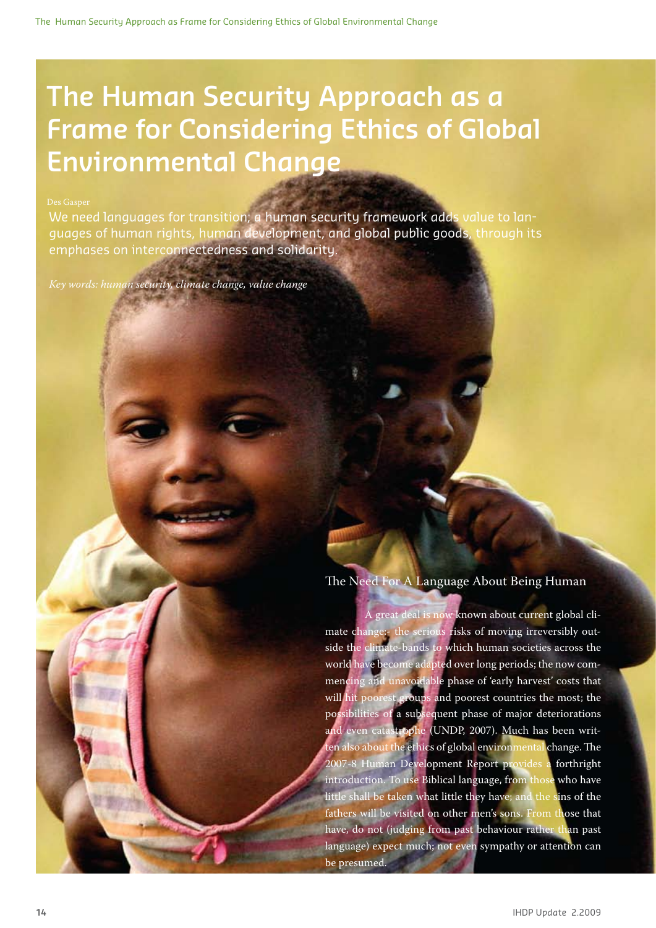# **The Human Security Approach as a Frame for Considering Ethics of Global Environmental Change**

### Des Gasper

We need languages for transition; a human security framework adds value to languages of human rights, human development, and global public goods, through its emphases on interconnectedness and solidarity.

*Key words: human security, climate change, value change*

## The Need For A Language About Being Human

We need the security for the security of the security of the security of the security of the security of the security of the security of the security of the security of the security of the security of the security of the s framework adds value to languages of human rights, human development, and global public goods, the global public goods, through public goods, the global public goods, through its emphases on interconnectedness and solidarity.

> A great deal is now known about current global climate change:- the serious risks of moving irreversibly outside the climate-bands to which human societies across the world have become adapted over long periods; the now commencing and unavoidable phase of 'early harvest' costs that will hit poorest groups and poorest countries the most; the possibilities of a subsequent phase of major deteriorations and even catastrophe (UNDP, 2007). Much has been written also about the ethics of global environmental change. The 2007-8 Human Development Report provides a forthright introduction. To use Biblical language, from those who have little shall be taken what little they have; and the sins of the fathers will be visited on other men's sons. From those that have, do not (judging from past behaviour rather than past language) expect much; not even sympathy or attention can be presumed.

Coffee Bay, South Africa Copyright lebeccio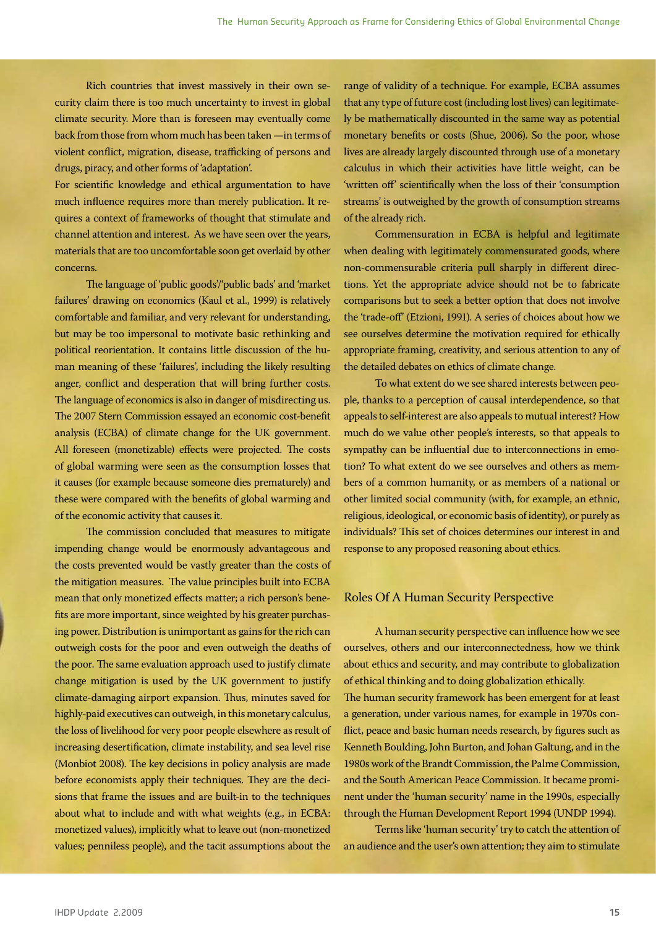Rich countries that invest massively in their own security claim there is too much uncertainty to invest in global climate security. More than is foreseen may eventually come back from those from whom much has been taken —in terms of violent conflict, migration, disease, trafficking of persons and drugs, piracy, and other forms of 'adaptation'.

For scientific knowledge and ethical argumentation to have much influence requires more than merely publication. It requires a context of frameworks of thought that stimulate and channel attention and interest. As we have seen over the years, materials that are too uncomfortable soon get overlaid by other concerns.

The language of 'public goods'/'public bads' and 'market failures' drawing on economics (Kaul et al., 1999) is relatively comfortable and familiar, and very relevant for understanding, but may be too impersonal to motivate basic rethinking and political reorientation. It contains little discussion of the human meaning of these 'failures', including the likely resulting anger, conflict and desperation that will bring further costs. The language of economics is also in danger of misdirecting us. The 2007 Stern Commission essayed an economic cost-benefit analysis (ECBA) of climate change for the UK government. All foreseen (monetizable) effects were projected. The costs of global warming were seen as the consumption losses that it causes (for example because someone dies prematurely) and these were compared with the benefits of global warming and of the economic activity that causes it.

The commission concluded that measures to mitigate impending change would be enormously advantageous and the costs prevented would be vastly greater than the costs of the mitigation measures. The value principles built into ECBA mean that only monetized effects matter; a rich person's benefits are more important, since weighted by his greater purchasing power. Distribution is unimportant as gains for the rich can outweigh costs for the poor and even outweigh the deaths of the poor. The same evaluation approach used to justify climate change mitigation is used by the UK government to justify climate-damaging airport expansion. Thus, minutes saved for highly-paid executives can outweigh, in this monetary calculus, the loss of livelihood for very poor people elsewhere as result of increasing desertification, climate instability, and sea level rise (Monbiot 2008). The key decisions in policy analysis are made before economists apply their techniques. They are the decisions that frame the issues and are built-in to the techniques about what to include and with what weights (e.g., in ECBA: monetized values), implicitly what to leave out (non-monetized values; penniless people), and the tacit assumptions about the

range of validity of a technique. For example, ECBA assumes that any type of future cost (including lost lives) can legitimately be mathematically discounted in the same way as potential monetary benefits or costs (Shue, 2006). So the poor, whose lives are already largely discounted through use of a monetary calculus in which their activities have little weight, can be 'written off' scientifically when the loss of their 'consumption streams' is outweighed by the growth of consumption streams of the already rich.

Commensuration in ECBA is helpful and legitimate when dealing with legitimately commensurated goods, where non-commensurable criteria pull sharply in different directions. Yet the appropriate advice should not be to fabricate comparisons but to seek a better option that does not involve the 'trade-off' (Etzioni, 1991). A series of choices about how we see ourselves determine the motivation required for ethically appropriate framing, creativity, and serious attention to any of the detailed debates on ethics of climate change.

To what extent do we see shared interests between people, thanks to a perception of causal interdependence, so that appeals to self-interest are also appeals to mutual interest? How much do we value other people's interests, so that appeals to sympathy can be influential due to interconnections in emotion? To what extent do we see ourselves and others as members of a common humanity, or as members of a national or other limited social community (with, for example, an ethnic, religious, ideological, or economic basis of identity), or purely as individuals? This set of choices determines our interest in and response to any proposed reasoning about ethics.

### Roles Of A Human Security Perspective

A human security perspective can influence how we see ourselves, others and our interconnectedness, how we think about ethics and security, and may contribute to globalization of ethical thinking and to doing globalization ethically. The human security framework has been emergent for at least a generation, under various names, for example in 1970s conflict, peace and basic human needs research, by figures such as Kenneth Boulding, John Burton, and Johan Galtung, and in the 1980s work of the Brandt Commission, the Palme Commission, and the South American Peace Commission. It became prominent under the 'human security' name in the 1990s, especially through the Human Development Report 1994 (UNDP 1994).

Terms like 'human security' try to catch the attention of an audience and the user's own attention; they aim to stimulate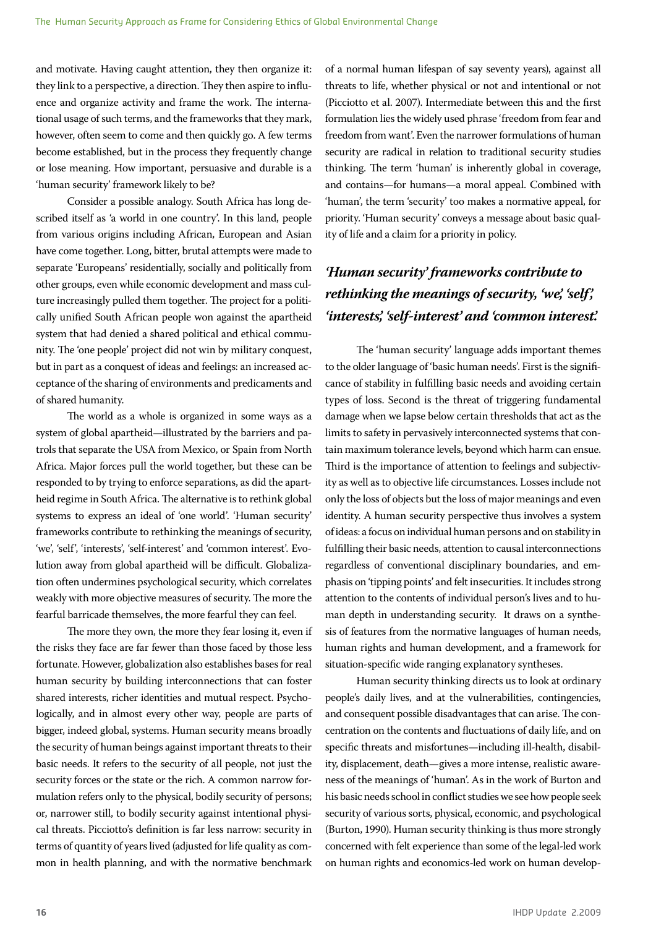and motivate. Having caught attention, they then organize it: they link to a perspective, a direction. They then aspire to influence and organize activity and frame the work. The international usage of such terms, and the frameworks that they mark, however, often seem to come and then quickly go. A few terms become established, but in the process they frequently change or lose meaning. How important, persuasive and durable is a 'human security' framework likely to be?

Consider a possible analogy. South Africa has long described itself as 'a world in one country'. In this land, people from various origins including African, European and Asian have come together. Long, bitter, brutal attempts were made to separate 'Europeans' residentially, socially and politically from other groups, even while economic development and mass culture increasingly pulled them together. The project for a politically unified South African people won against the apartheid system that had denied a shared political and ethical community. The 'one people' project did not win by military conquest, but in part as a conquest of ideas and feelings: an increased acceptance of the sharing of environments and predicaments and of shared humanity.

The world as a whole is organized in some ways as a system of global apartheid—illustrated by the barriers and patrols that separate the USA from Mexico, or Spain from North Africa. Major forces pull the world together, but these can be responded to by trying to enforce separations, as did the apartheid regime in South Africa. The alternative is to rethink global systems to express an ideal of 'one world'. 'Human security' frameworks contribute to rethinking the meanings of security, 'we', 'self', 'interests', 'self-interest' and 'common interest'. Evolution away from global apartheid will be difficult. Globalization often undermines psychological security, which correlates weakly with more objective measures of security. The more the fearful barricade themselves, the more fearful they can feel.

The more they own, the more they fear losing it, even if the risks they face are far fewer than those faced by those less fortunate. However, globalization also establishes bases for real human security by building interconnections that can foster shared interests, richer identities and mutual respect. Psychologically, and in almost every other way, people are parts of bigger, indeed global, systems. Human security means broadly the security of human beings against important threats to their basic needs. It refers to the security of all people, not just the security forces or the state or the rich. A common narrow formulation refers only to the physical, bodily security of persons; or, narrower still, to bodily security against intentional physical threats. Picciotto's definition is far less narrow: security in terms of quantity of years lived (adjusted for life quality as common in health planning, and with the normative benchmark

of a normal human lifespan of say seventy years), against all threats to life, whether physical or not and intentional or not (Picciotto et al. 2007). Intermediate between this and the first formulation lies the widely used phrase 'freedom from fear and freedom from want'. Even the narrower formulations of human security are radical in relation to traditional security studies thinking. The term 'human' is inherently global in coverage, and contains—for humans—a moral appeal. Combined with 'human', the term 'security' too makes a normative appeal, for priority. 'Human security' conveys a message about basic quality of life and a claim for a priority in policy.

# *'Human security' frameworks contribute to rethinking the meanings of security, 'we', 'self', 'interests', 'self-interest' and 'common interest'.*

The 'human security' language adds important themes to the older language of 'basic human needs'. First is the significance of stability in fulfilling basic needs and avoiding certain types of loss. Second is the threat of triggering fundamental damage when we lapse below certain thresholds that act as the limits to safety in pervasively interconnected systems that contain maximum tolerance levels, beyond which harm can ensue. Third is the importance of attention to feelings and subjectivity as well as to objective life circumstances. Losses include not only the loss of objects but the loss of major meanings and even identity. A human security perspective thus involves a system of ideas: a focus on individual human persons and on stability in fulfilling their basic needs, attention to causal interconnections regardless of conventional disciplinary boundaries, and emphasis on 'tipping points' and felt insecurities. It includes strong attention to the contents of individual person's lives and to human depth in understanding security. It draws on a synthesis of features from the normative languages of human needs, human rights and human development, and a framework for situation-specific wide ranging explanatory syntheses.

Human security thinking directs us to look at ordinary people's daily lives, and at the vulnerabilities, contingencies, and consequent possible disadvantages that can arise. The concentration on the contents and fluctuations of daily life, and on specific threats and misfortunes—including ill-health, disability, displacement, death—gives a more intense, realistic awareness of the meanings of 'human'. As in the work of Burton and his basic needs school in conflict studies we see how people seek security of various sorts, physical, economic, and psychological (Burton, 1990). Human security thinking is thus more strongly concerned with felt experience than some of the legal-led work on human rights and economics-led work on human develop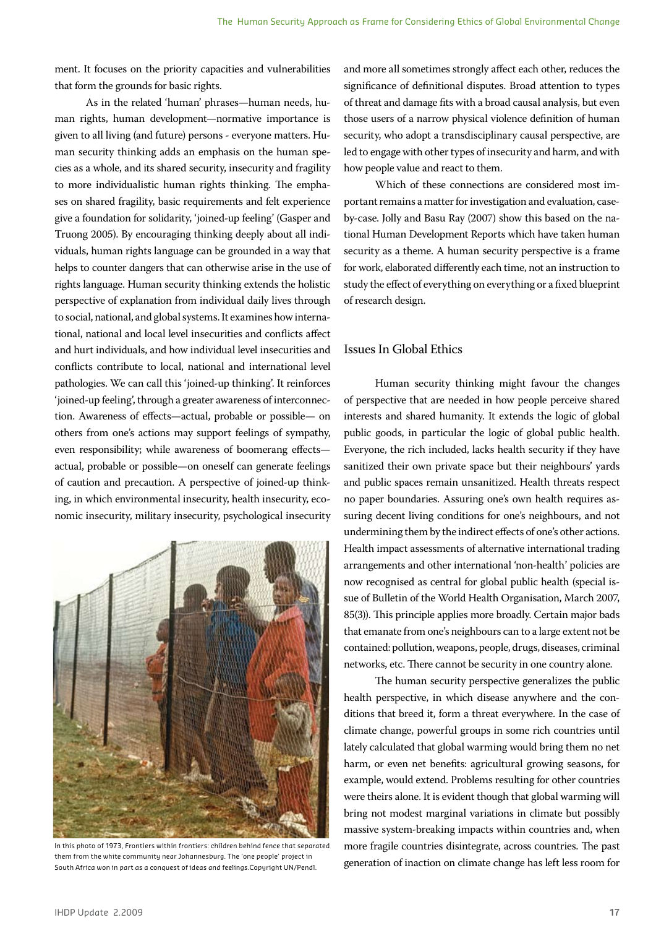ment. It focuses on the priority capacities and vulnerabilities that form the grounds for basic rights.

As in the related 'human' phrases—human needs, human rights, human development—normative importance is given to all living (and future) persons - everyone matters. Human security thinking adds an emphasis on the human species as a whole, and its shared security, insecurity and fragility to more individualistic human rights thinking. The emphases on shared fragility, basic requirements and felt experience give a foundation for solidarity, 'joined-up feeling' (Gasper and Truong 2005). By encouraging thinking deeply about all individuals, human rights language can be grounded in a way that helps to counter dangers that can otherwise arise in the use of rights language. Human security thinking extends the holistic perspective of explanation from individual daily lives through to social, national, and global systems. It examines how international, national and local level insecurities and conflicts affect and hurt individuals, and how individual level insecurities and conflicts contribute to local, national and international level pathologies. We can call this 'joined-up thinking'. It reinforces 'joined-up feeling', through a greater awareness of interconnection. Awareness of effects—actual, probable or possible— on others from one's actions may support feelings of sympathy, even responsibility; while awareness of boomerang effects actual, probable or possible—on oneself can generate feelings of caution and precaution. A perspective of joined-up thinking, in which environmental insecurity, health insecurity, economic insecurity, military insecurity, psychological insecurity



In this photo of 1973, Frontiers within frontiers: children behind fence that separated them from the white community near Johannesburg. The 'one people' project in South Africa won in part as a conquest of ideas and feelings.Copyright UN/Pendl.

and more all sometimes strongly affect each other, reduces the significance of definitional disputes. Broad attention to types of threat and damage fits with a broad causal analysis, but even those users of a narrow physical violence definition of human security, who adopt a transdisciplinary causal perspective, are led to engage with other types of insecurity and harm, and with how people value and react to them.

Which of these connections are considered most important remains a matter for investigation and evaluation, caseby-case. Jolly and Basu Ray (2007) show this based on the national Human Development Reports which have taken human security as a theme. A human security perspective is a frame for work, elaborated differently each time, not an instruction to study the effect of everything on everything or a fixed blueprint of research design.

### Issues In Global Ethics

Human security thinking might favour the changes of perspective that are needed in how people perceive shared interests and shared humanity. It extends the logic of global public goods, in particular the logic of global public health. Everyone, the rich included, lacks health security if they have sanitized their own private space but their neighbours' yards and public spaces remain unsanitized. Health threats respect no paper boundaries. Assuring one's own health requires assuring decent living conditions for one's neighbours, and not undermining them by the indirect effects of one's other actions. Health impact assessments of alternative international trading arrangements and other international 'non-health' policies are now recognised as central for global public health (special issue of Bulletin of the World Health Organisation, March 2007, 85(3)). This principle applies more broadly. Certain major bads that emanate from one's neighbours can to a large extent not be contained: pollution, weapons, people, drugs, diseases, criminal networks, etc. There cannot be security in one country alone.

The human security perspective generalizes the public health perspective, in which disease anywhere and the conditions that breed it, form a threat everywhere. In the case of climate change, powerful groups in some rich countries until lately calculated that global warming would bring them no net harm, or even net benefits: agricultural growing seasons, for example, would extend. Problems resulting for other countries were theirs alone. It is evident though that global warming will bring not modest marginal variations in climate but possibly massive system-breaking impacts within countries and, when more fragile countries disintegrate, across countries. The past generation of inaction on climate change has left less room for